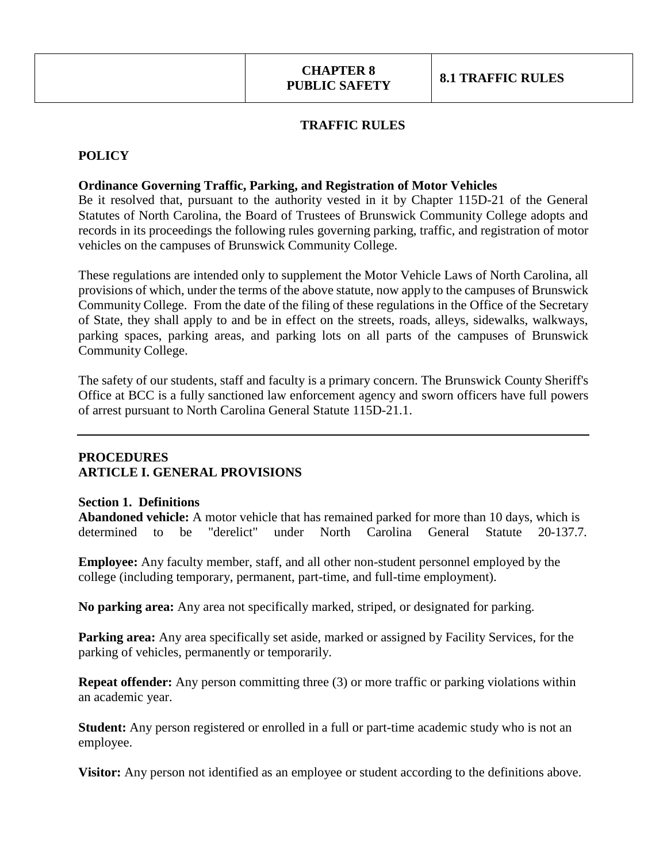### **TRAFFIC RULES**

### **POLICY**

### **Ordinance Governing Traffic, Parking, and Registration of Motor Vehicles**

Be it resolved that, pursuant to the authority vested in it by Chapter 115D-21 of the General Statutes of North Carolina, the Board of Trustees of Brunswick Community College adopts and records in its proceedings the following rules governing parking, traffic, and registration of motor vehicles on the campuses of Brunswick Community College.

These regulations are intended only to supplement the Motor Vehicle Laws of North Carolina, all provisions of which, under the terms of the above statute, now apply to the campuses of Brunswick Community College. From the date of the filing of these regulations in the Office of the Secretary of State, they shall apply to and be in effect on the streets, roads, alleys, sidewalks, walkways, parking spaces, parking areas, and parking lots on all parts of the campuses of Brunswick Community College.

The safety of our students, staff and faculty is a primary concern. The Brunswick County Sheriff's Office at BCC is a fully sanctioned law enforcement agency and sworn officers have full powers of arrest pursuant to North Carolina General Statute 115D-21.1.

### **PROCEDURES ARTICLE I. GENERAL PROVISIONS**

#### **Section 1. Definitions**

**Abandoned vehicle:** A motor vehicle that has remained parked for more than 10 days, which is determined to be "derelict" under North Carolina General Statute 20-137.7.

**Employee:** Any faculty member, staff, and all other non-student personnel employed by the college (including temporary, permanent, part-time, and full-time employment).

**No parking area:** Any area not specifically marked, striped, or designated for parking.

**Parking area:** Any area specifically set aside, marked or assigned by Facility Services, for the parking of vehicles, permanently or temporarily.

**Repeat offender:** Any person committing three (3) or more traffic or parking violations within an academic year.

**Student:** Any person registered or enrolled in a full or part-time academic study who is not an employee.

**Visitor:** Any person not identified as an employee or student according to the definitions above.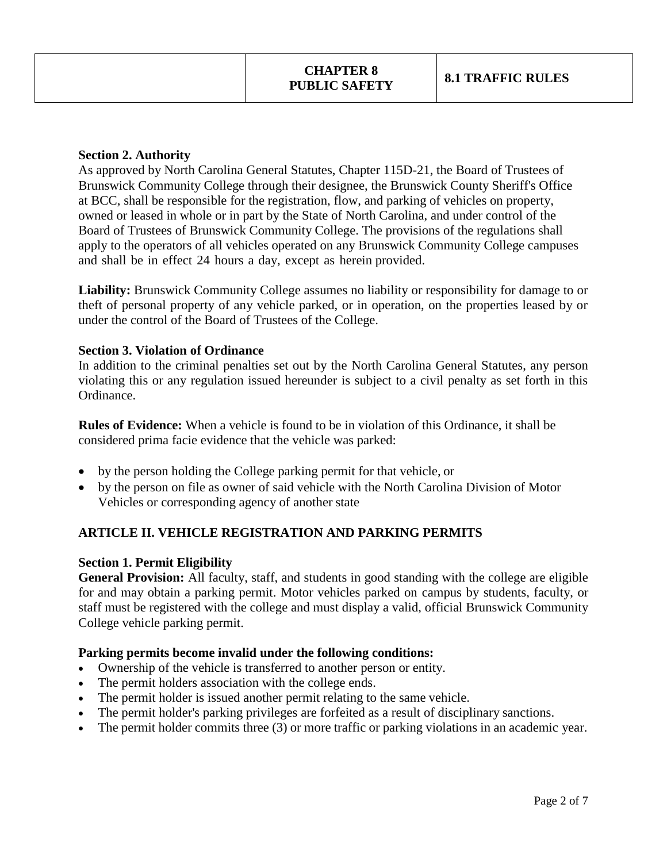### **Section 2. Authority**

As approved by North Carolina General Statutes, Chapter 115D-21, the Board of Trustees of Brunswick Community College through their designee, the Brunswick County Sheriff's Office at BCC, shall be responsible for the registration, flow, and parking of vehicles on property, owned or leased in whole or in part by the State of North Carolina, and under control of the Board of Trustees of Brunswick Community College. The provisions of the regulations shall apply to the operators of all vehicles operated on any Brunswick Community College campuses and shall be in effect 24 hours a day, except as herein provided.

**Liability:** Brunswick Community College assumes no liability or responsibility for damage to or theft of personal property of any vehicle parked, or in operation, on the properties leased by or under the control of the Board of Trustees of the College.

### **Section 3. Violation of Ordinance**

In addition to the criminal penalties set out by the North Carolina General Statutes, any person violating this or any regulation issued hereunder is subject to a civil penalty as set forth in this Ordinance.

**Rules of Evidence:** When a vehicle is found to be in violation of this Ordinance, it shall be considered prima facie evidence that the vehicle was parked:

- by the person holding the College parking permit for that vehicle, or
- by the person on file as owner of said vehicle with the North Carolina Division of Motor Vehicles or corresponding agency of another state

# **ARTICLE II. VEHICLE REGISTRATION AND PARKING PERMITS**

#### **Section 1. Permit Eligibility**

**General Provision:** All faculty, staff, and students in good standing with the college are eligible for and may obtain a parking permit. Motor vehicles parked on campus by students, faculty, or staff must be registered with the college and must display a valid, official Brunswick Community College vehicle parking permit.

#### **Parking permits become invalid under the following conditions:**

- Ownership of the vehicle is transferred to another person or entity.
- The permit holders association with the college ends.
- The permit holder is issued another permit relating to the same vehicle.
- The permit holder's parking privileges are forfeited as a result of disciplinary sanctions.
- The permit holder commits three (3) or more traffic or parking violations in an academic year.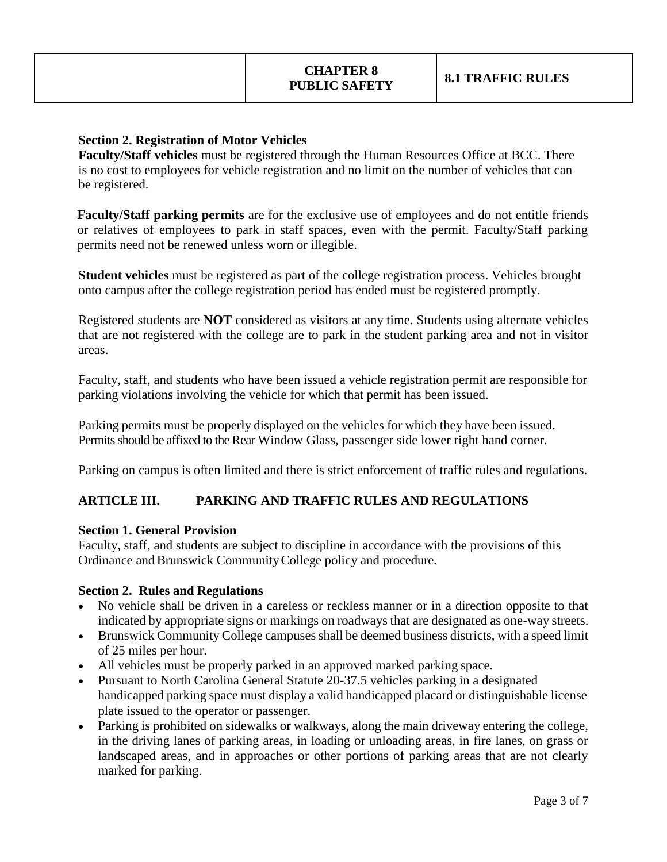### **Section 2. Registration of Motor Vehicles**

**Faculty/Staff vehicles** must be registered through the Human Resources Office at BCC. There is no cost to employees for vehicle registration and no limit on the number of vehicles that can be registered.

**Faculty/Staff parking permits** are for the exclusive use of employees and do not entitle friends or relatives of employees to park in staff spaces, even with the permit. Faculty/Staff parking permits need not be renewed unless worn or illegible.

**Student vehicles** must be registered as part of the college registration process. Vehicles brought onto campus after the college registration period has ended must be registered promptly.

Registered students are **NOT** considered as visitors at any time. Students using alternate vehicles that are not registered with the college are to park in the student parking area and not in visitor areas.

Faculty, staff, and students who have been issued a vehicle registration permit are responsible for parking violations involving the vehicle for which that permit has been issued.

Parking permits must be properly displayed on the vehicles for which they have been issued. Permits should be affixed to the Rear Window Glass, passenger side lower right hand corner.

Parking on campus is often limited and there is strict enforcement of traffic rules and regulations.

## **ARTICLE III. PARKING AND TRAFFIC RULES AND REGULATIONS**

#### **Section 1. General Provision**

Faculty, staff, and students are subject to discipline in accordance with the provisions of this Ordinance and Brunswick Community College policy and procedure.

#### **Section 2. Rules and Regulations**

- No vehicle shall be driven in a careless or reckless manner or in a direction opposite to that indicated by appropriate signs or markings on roadways that are designated as one-way streets.
- Brunswick Community College campuses shall be deemed business districts, with a speed limit of 25 miles per hour.
- All vehicles must be properly parked in an approved marked parking space.
- Pursuant to North Carolina General Statute 20-37.5 vehicles parking in a designated handicapped parking space must display a valid handicapped placard or distinguishable license plate issued to the operator or passenger.
- Parking is prohibited on sidewalks or walkways, along the main driveway entering the college, in the driving lanes of parking areas, in loading or unloading areas, in fire lanes, on grass or landscaped areas, and in approaches or other portions of parking areas that are not clearly marked for parking.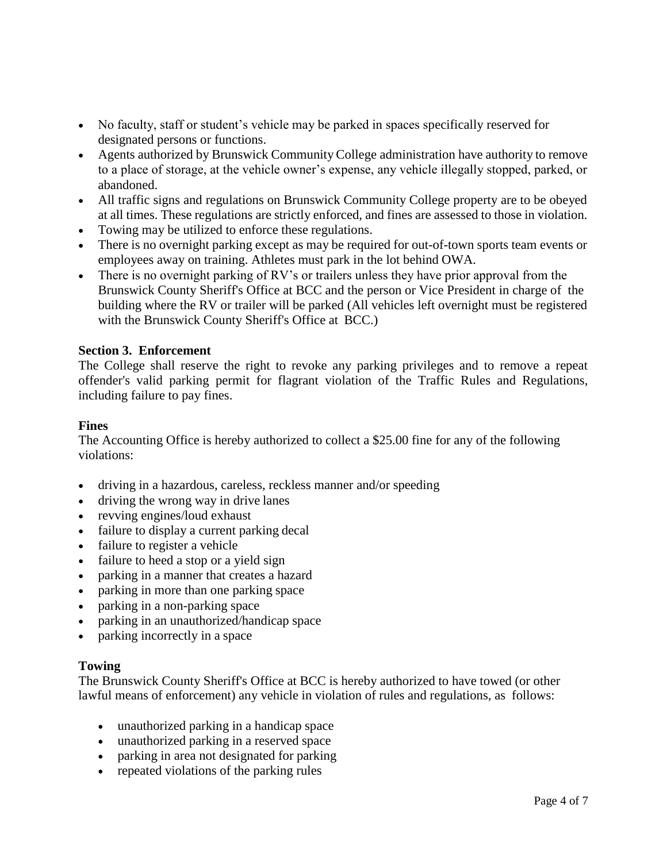- No faculty, staff or student's vehicle may be parked in spaces specifically reserved for designated persons or functions.
- Agents authorized by Brunswick CommunityCollege administration have authority to remove to a place of storage, at the vehicle owner's expense, any vehicle illegally stopped, parked, or abandoned.
- All traffic signs and regulations on Brunswick Community College property are to be obeyed at all times. These regulations are strictly enforced, and fines are assessed to those in violation.
- Towing may be utilized to enforce these regulations.
- There is no overnight parking except as may be required for out-of-town sports team events or employees away on training. Athletes must park in the lot behind OWA.
- There is no overnight parking of RV's or trailers unless they have prior approval from the Brunswick County Sheriff's Office at BCC and the person or Vice President in charge of the building where the RV or trailer will be parked (All vehicles left overnight must be registered with the Brunswick County Sheriff's Office at BCC.)

#### **Section 3. Enforcement**

The College shall reserve the right to revoke any parking privileges and to remove a repeat offender's valid parking permit for flagrant violation of the Traffic Rules and Regulations, including failure to pay fines.

#### **Fines**

The Accounting Office is hereby authorized to collect a \$25.00 fine for any of the following violations:

- driving in a hazardous, careless, reckless manner and/or speeding
- driving the wrong way in drive lanes
- revving engines/loud exhaust
- failure to display a current parking decal
- failure to register a vehicle
- failure to heed a stop or a yield sign
- parking in a manner that creates a hazard
- parking in more than one parking space
- parking in a non-parking space
- parking in an unauthorized/handicap space
- parking incorrectly in a space

#### **Towing**

The Brunswick County Sheriff's Office at BCC is hereby authorized to have towed (or other lawful means of enforcement) any vehicle in violation of rules and regulations, as follows:

- unauthorized parking in a handicap space
- unauthorized parking in a reserved space
- parking in area not designated for parking
- repeated violations of the parking rules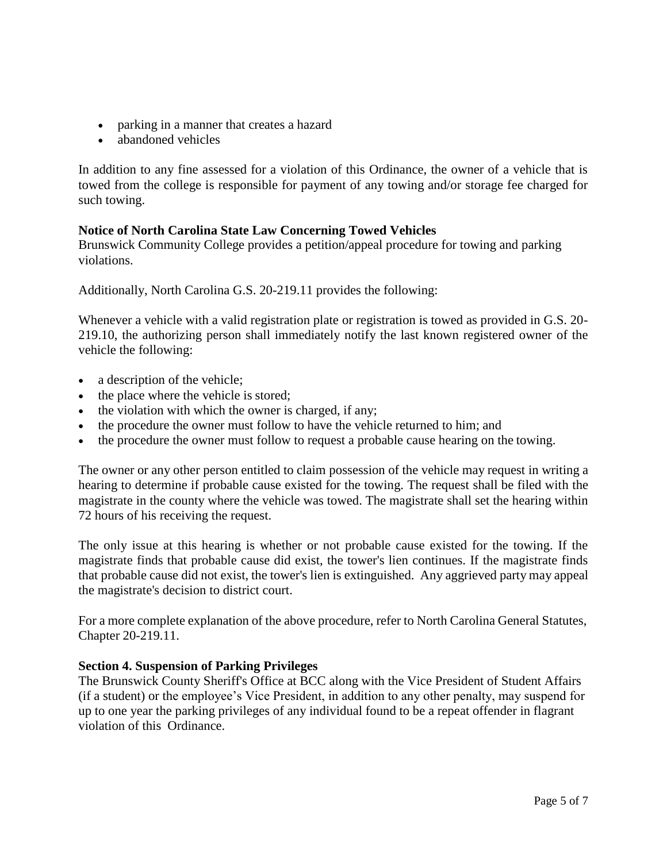- parking in a manner that creates a hazard
- abandoned vehicles

In addition to any fine assessed for a violation of this Ordinance, the owner of a vehicle that is towed from the college is responsible for payment of any towing and/or storage fee charged for such towing.

### **Notice of North Carolina State Law Concerning Towed Vehicles**

Brunswick Community College provides a petition/appeal procedure for towing and parking violations.

Additionally, North Carolina G.S. 20-219.11 provides the following:

Whenever a vehicle with a valid registration plate or registration is towed as provided in G.S. 20- 219.10, the authorizing person shall immediately notify the last known registered owner of the vehicle the following:

- a description of the vehicle;
- the place where the vehicle is stored;
- the violation with which the owner is charged, if any;
- the procedure the owner must follow to have the vehicle returned to him; and
- the procedure the owner must follow to request a probable cause hearing on the towing.

The owner or any other person entitled to claim possession of the vehicle may request in writing a hearing to determine if probable cause existed for the towing. The request shall be filed with the magistrate in the county where the vehicle was towed. The magistrate shall set the hearing within 72 hours of his receiving the request.

The only issue at this hearing is whether or not probable cause existed for the towing. If the magistrate finds that probable cause did exist, the tower's lien continues. If the magistrate finds that probable cause did not exist, the tower's lien is extinguished. Any aggrieved party may appeal the magistrate's decision to district court.

For a more complete explanation of the above procedure, refer to North Carolina General Statutes, Chapter 20-219.11.

#### **Section 4. Suspension of Parking Privileges**

The Brunswick County Sheriff's Office at BCC along with the Vice President of Student Affairs (if a student) or the employee's Vice President, in addition to any other penalty, may suspend for up to one year the parking privileges of any individual found to be a repeat offender in flagrant violation of this Ordinance.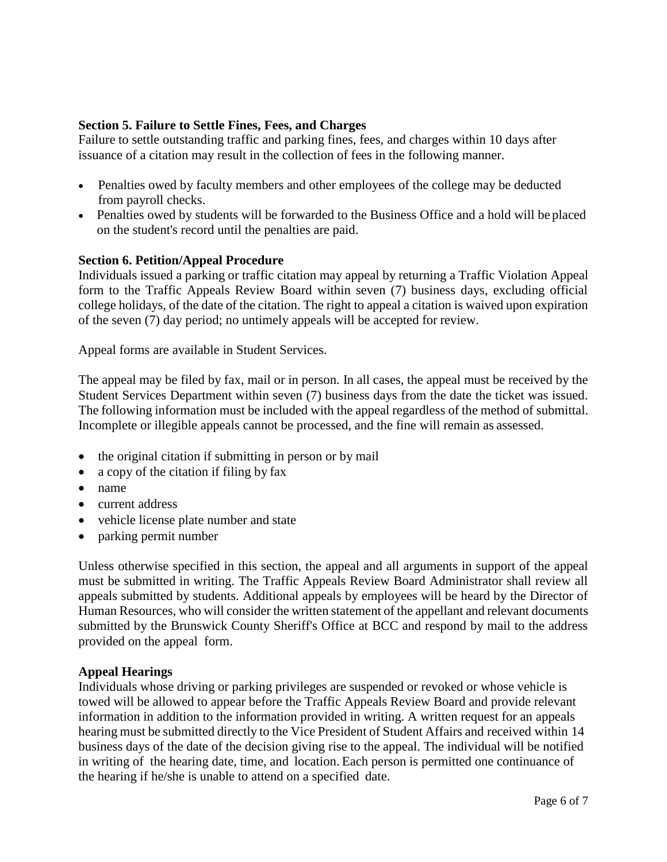### **Section 5. Failure to Settle Fines, Fees, and Charges**

Failure to settle outstanding traffic and parking fines, fees, and charges within 10 days after issuance of a citation may result in the collection of fees in the following manner.

- Penalties owed by faculty members and other employees of the college may be deducted from payroll checks.
- Penalties owed by students will be forwarded to the Business Office and a hold will be placed on the student's record until the penalties are paid.

#### **Section 6. Petition/Appeal Procedure**

Individuals issued a parking or traffic citation may appeal by returning a Traffic Violation Appeal form to the Traffic Appeals Review Board within seven (7) business days, excluding official college holidays, of the date of the citation. The right to appeal a citation is waived upon expiration of the seven (7) day period; no untimely appeals will be accepted for review.

Appeal forms are available in Student Services.

The appeal may be filed by fax, mail or in person. In all cases, the appeal must be received by the Student Services Department within seven (7) business days from the date the ticket was issued. The following information must be included with the appeal regardless of the method of submittal. Incomplete or illegible appeals cannot be processed, and the fine will remain as assessed.

- the original citation if submitting in person or by mail
- a copy of the citation if filing by fax
- name
- current address
- vehicle license plate number and state
- parking permit number

Unless otherwise specified in this section, the appeal and all arguments in support of the appeal must be submitted in writing. The Traffic Appeals Review Board Administrator shall review all appeals submitted by students. Additional appeals by employees will be heard by the Director of Human Resources, who will consider the written statement of the appellant and relevant documents submitted by the Brunswick County Sheriff's Office at BCC and respond by mail to the address provided on the appeal form.

#### **Appeal Hearings**

Individuals whose driving or parking privileges are suspended or revoked or whose vehicle is towed will be allowed to appear before the Traffic Appeals Review Board and provide relevant information in addition to the information provided in writing. A written request for an appeals hearing must be submitted directly to the Vice President of Student Affairs and received within 14 business days of the date of the decision giving rise to the appeal. The individual will be notified in writing of the hearing date, time, and location. Each person is permitted one continuance of the hearing if he/she is unable to attend on a specified date.